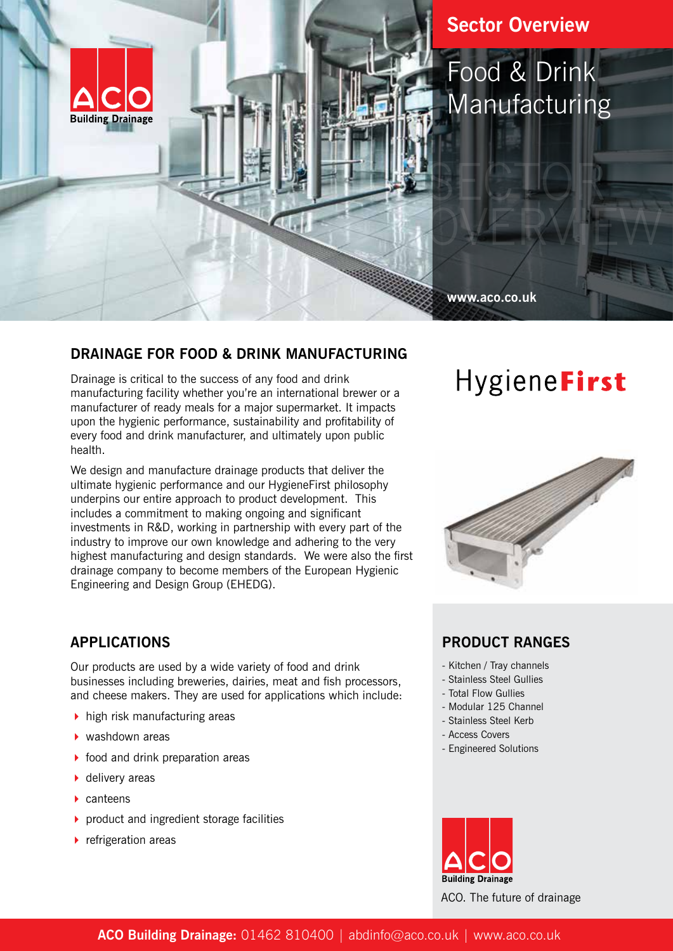

## **Sector Overview**

## Food & Drink Manufacturing

#### **www.aco.co.uk**

#### **DRAINAGE FOR FOOD & DRINK MANUFACTURING**

Drainage is critical to the success of any food and drink manufacturing facility whether you're an international brewer or a manufacturer of ready meals for a major supermarket. It impacts upon the hygienic performance, sustainability and profitability of every food and drink manufacturer, and ultimately upon public health.

We design and manufacture drainage products that deliver the ultimate hygienic performance and our HygieneFirst philosophy underpins our entire approach to product development. This includes a commitment to making ongoing and significant investments in R&D, working in partnership with every part of the industry to improve our own knowledge and adhering to the very highest manufacturing and design standards. We were also the first drainage company to become members of the European Hygienic Engineering and Design Group (EHEDG).

## **APPLICATIONS**

Our products are used by a wide variety of food and drink businesses including breweries, dairies, meat and fish processors, and cheese makers. They are used for applications which include:

- $\blacktriangleright$  high risk manufacturing areas
- $\blacktriangleright$  washdown areas
- $\triangleright$  food and drink preparation areas
- $\blacktriangleright$  delivery areas
- $\blacktriangleright$  canteens
- $\triangleright$  product and ingredient storage facilities
- $\blacktriangleright$  refrigeration areas

# HygieneFirst



## **PRODUCT RANGES**

- Kitchen / Tray channels
- Stainless Steel Gullies
- Total Flow Gullies
- Modular 125 Channel
- Stainless Steel Kerb
- Access Covers
- Engineered Solutions



ACO. The future of drainage